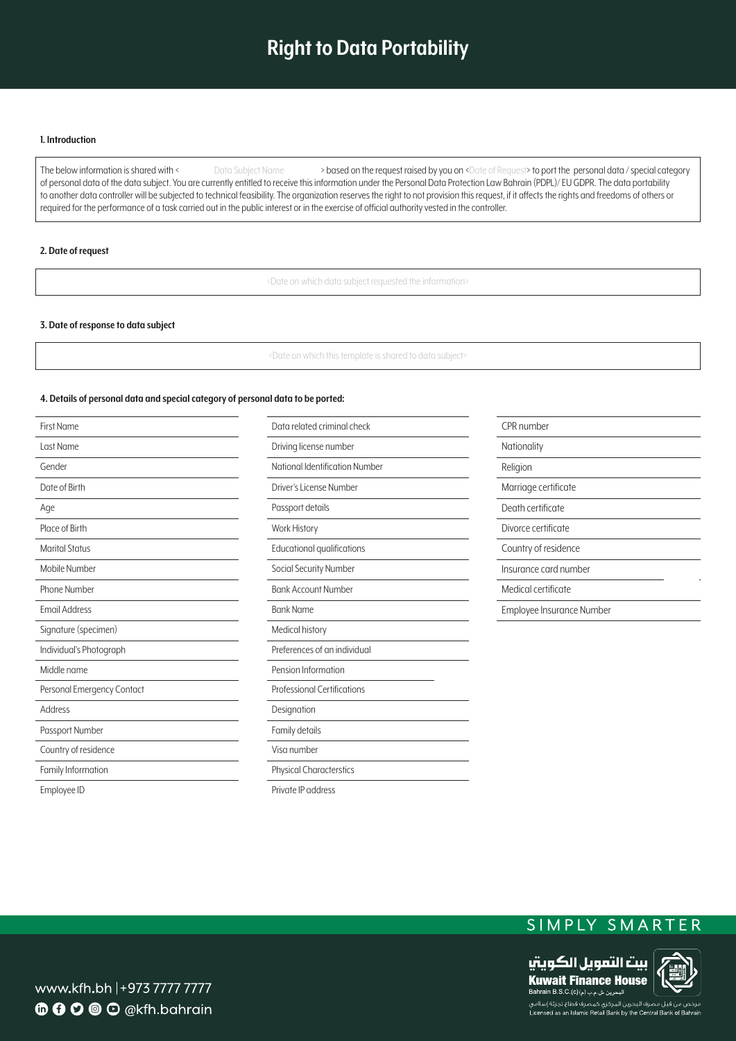# **Right to Data Portability**

## **Introduction 1.**

The below information is shared with < Data Subject Name > based on the request raised by you on <Date of Request> to port the personal data / special category of personal data of the data subject. You are currently entitled to receive this information under the Personal Data Protection Law Bahrain (PDPL)/ EU GDPR. The data portability to another data controller will be subjected to technical feasibility. The organization reserves the right to not provision this request, if it affects the rights and freedoms of others or required for the performance of a task carried out in the public interest or in the exercise of official authority vested in the controller.

## **2.** Date of request

<Date on which data subject requested the information>

### **3. Date of response to data subject**

<Date on which this template is shared to data subject>

# 4. Details of personal data and special category of personal data to be ported:

| <b>First Name</b>          | Data related criminal check        | CPR number                |
|----------------------------|------------------------------------|---------------------------|
| Last Name                  | Driving license number             | Nationality               |
| Gender                     | National Identification Number     | Religion                  |
| Date of Birth              | Driver's License Number            | Marriage certificate      |
| Age                        | Passport details                   | Death certificate         |
| Place of Birth             | <b>Work History</b>                | Divorce certificate       |
| <b>Marital Status</b>      | Educational qualifications         | Country of residence      |
| Mobile Number              | Social Security Number             | Insurance card number     |
| Phone Number               | <b>Bank Account Number</b>         | Medical certificate       |
| <b>Email Address</b>       | <b>Bank Name</b>                   | Employee Insurance Number |
| Signature (specimen)       | Medical history                    |                           |
| Individual's Photograph    | Preferences of an individual       |                           |
| Middle name                | Pension Information                |                           |
| Personal Emergency Contact | <b>Professional Certifications</b> |                           |
| Address                    | Designation                        |                           |
| Passport Number            | Family details                     |                           |
| Country of residence       | Visa number                        |                           |
| Family Information         | <b>Physical Characterstics</b>     |                           |
| Employee ID                | Private IP address                 |                           |

# SIMPLY SMARTER



www.kfh.bh |+973 7777 7777 **6000** O @kfh.bahrain